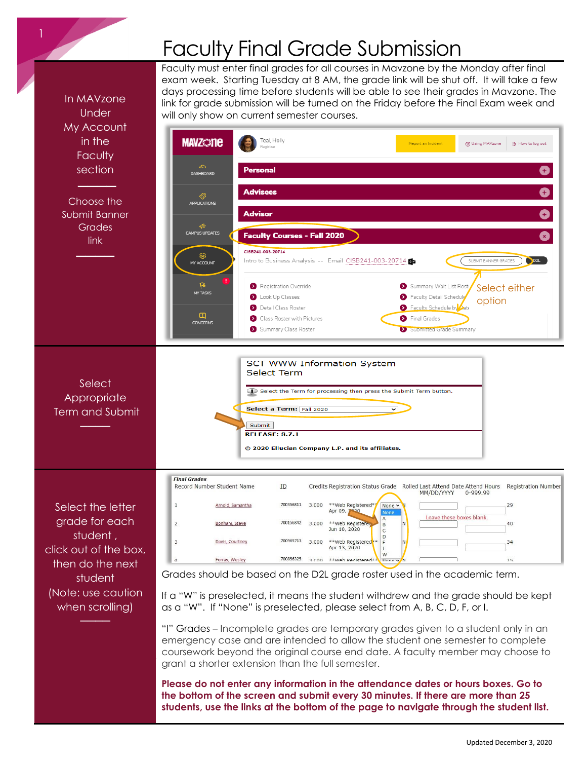## Faculty Final Grade Submission

Faculty must enter final grades for all courses in Mavzone by the Monday after final

exam week. Starting Tuesday at 8 AM, the grade link will be shut off. It will take a few days processing time before students will be able to see their grades in Mavzone. The In MAVzone link for grade submission will be turned on the Friday before the Final Exam week and Under will only show on current semester courses. My Account in the **MAVZ@ne** Teal, Holly ① Using MAVzone **B** How to log out Report an Incident Faculty section **Personal** 0 ─────────────────<br>────────────── **Advisees** Choose the Advisor Submit Banner **Grades** CAMPUS UPDATE **Faculty Courses - Fall 2020** link CISB241-003-20714 ────────────────<br>──────────── Intro to Business Analysis -- Email CISB241-003-20714 SUBMIT BANNER GRADES **ODZL** MY ACCOUNT Registration Override Summary Wait List Rost ps<br>MYTASKS Select either Look Up Classes Faculty Detail Schedulg optionFaculty Schedule by Aate **Detail Class Roster** Class Roster with Pictures Final Grades **CONCERN** Summary Class Roste Submitted Grade Summary **SCT WWW Information System Select Term Select** Select the Term for processing then press the Submit Term button. **Appropriate** Select a Term: Fall 2020  $\overline{\phantom{0}}$ Term and Submit Submit ──── **RELEASE: 8.7.1** © 2020 Ellucian Company L.P. and its affiliates. **Final Grade:** Record Number Student Name Credits Registration Status Grade Rolled Last Attend Date Attend Hours **Registration Number** ID. MM/DD/YYYY 0-999.99 \*\*Web Registered\*  $\mathbf{1}$ 700356811 Select the letter Arnold, Samantha 3.000 None v 29 Apr 09, 7 Leave these boxes blank grade for each  $\overline{2}$ Bonham, Steve 700156842 3.000 \*\*Web Register  $40$ Jun 10, 2020 student , 3 Davis, Courtney 700965713 3,000 \*\*Web Registere 34 Apr 13, 2020 click out of the box, 700856325 3 000 \*\*Web Registered Forray, Wesley  $1<sup>2</sup>$ then do the next Grades should be based on the D2L grade roster used in the academic term. student (Note: use caution If a "W" is preselected, it means the student withdrew and the grade should be kept when scrolling) as a "W". If "None" is preselected, please select from A, B, C, D, F, or I. ────

"I" Grades – Incomplete grades are temporary grades given to a student only in an emergency case and are intended to allow the student one semester to complete coursework beyond the original course end date. A faculty member may choose to grant a shorter extension than the full semester.

**Please do not enter any information in the attendance dates or hours boxes. Go to the bottom of the screen and submit every 30 minutes. If there are more than 25 students, use the links at the bottom of the page to navigate through the student list.**